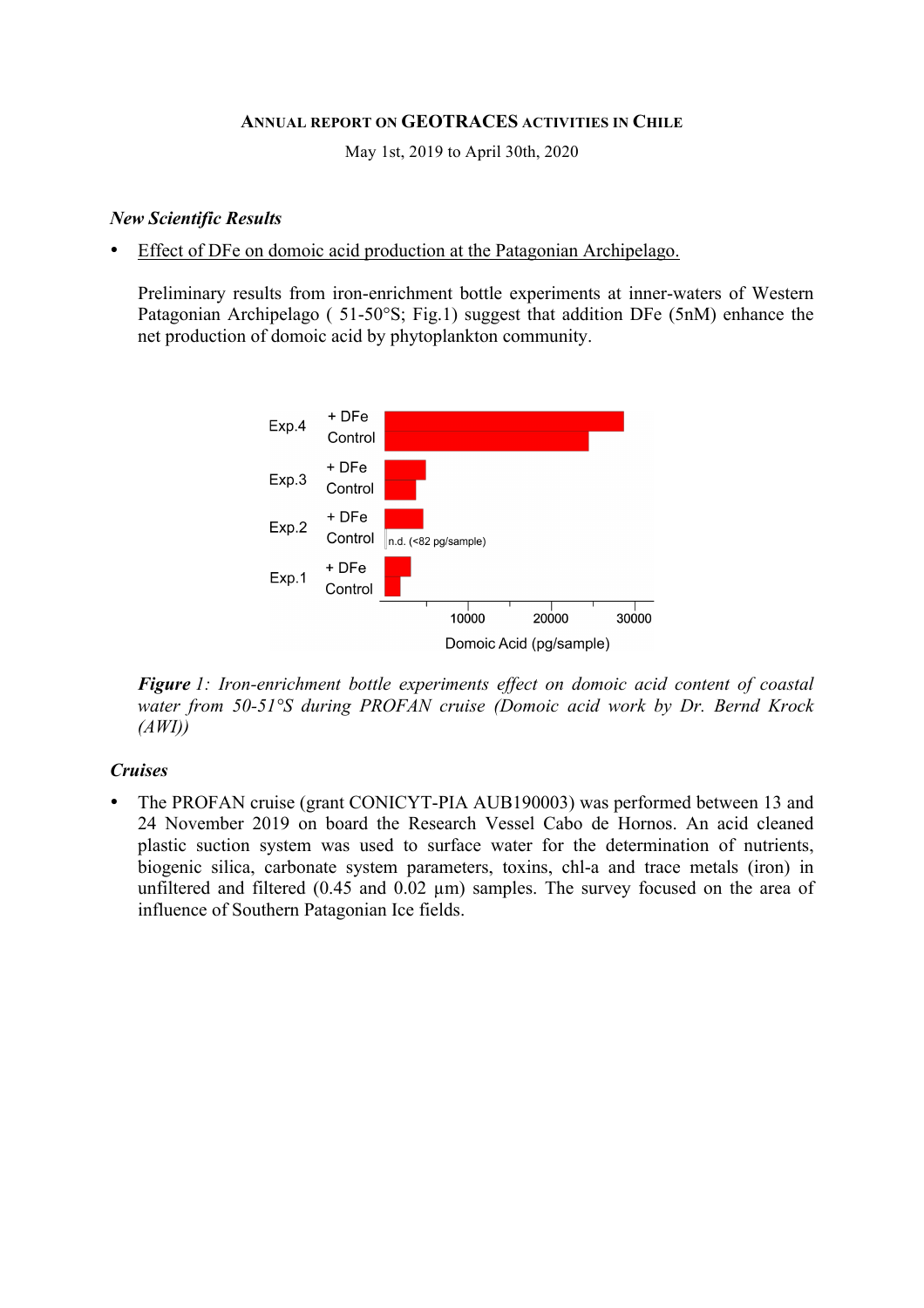#### **ANNUAL REPORT ON GEOTRACES ACTIVITIES IN CHILE**

May 1st, 2019 to April 30th, 2020

#### *New Scientific Results*

• Effect of DFe on domoic acid production at the Patagonian Archipelago.

Preliminary results from iron-enrichment bottle experiments at inner-waters of Western Patagonian Archipelago ( 51-50°S; Fig.1) suggest that addition DFe (5nM) enhance the net production of domoic acid by phytoplankton community.



*Figure 1: Iron-enrichment bottle experiments effect on domoic acid content of coastal water from 50-51°S during PROFAN cruise (Domoic acid work by Dr. Bernd Krock (AWI))*

## *Cruises*

• The PROFAN cruise (grant CONICYT-PIA AUB190003) was performed between 13 and 24 November 2019 on board the Research Vessel Cabo de Hornos. An acid cleaned plastic suction system was used to surface water for the determination of nutrients, biogenic silica, carbonate system parameters, toxins, chl-a and trace metals (iron) in unfiltered and filtered (0.45 and 0.02  $\mu$ m) samples. The survey focused on the area of influence of Southern Patagonian Ice fields.